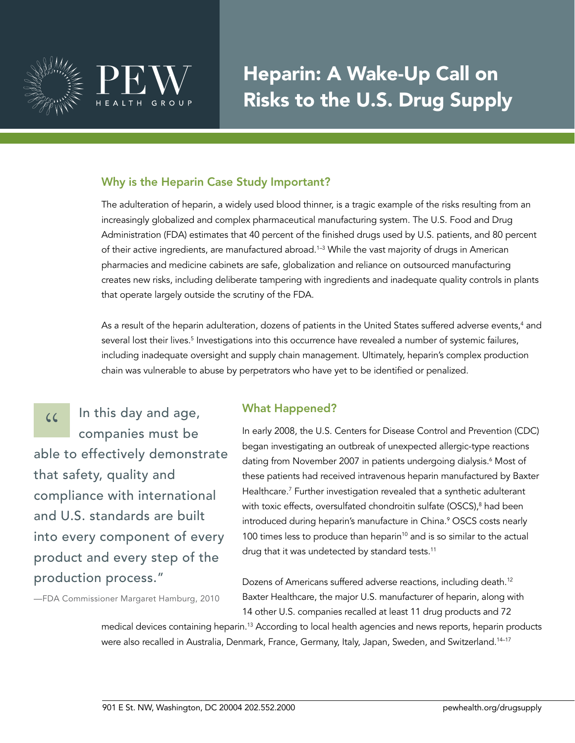

# Heparin: A Wake-Up Call on Risks to the U.S. Drug Supply

# Why is the Heparin Case Study Important?

The adulteration of heparin, a widely used blood thinner, is a tragic example of the risks resulting from an increasingly globalized and complex pharmaceutical manufacturing system. The U.S. Food and Drug Administration (FDA) estimates that 40 percent of the finished drugs used by U.S. patients, and 80 percent of their active ingredients, are manufactured abroad.<sup>1-3</sup> While the vast majority of drugs in American pharmacies and medicine cabinets are safe, globalization and reliance on outsourced manufacturing creates new risks, including deliberate tampering with ingredients and inadequate quality controls in plants that operate largely outside the scrutiny of the FDA.

As a result of the heparin adulteration, dozens of patients in the United States suffered adverse events, $^4$  and several lost their lives.<sup>5</sup> Investigations into this occurrence have revealed a number of systemic failures, including inadequate oversight and supply chain management. Ultimately, heparin's complex production chain was vulnerable to abuse by perpetrators who have yet to be identified or penalized.

 $\frac{1}{2}$  In this day and age,<br>companies must be companies must be able to effectively demonstrate that safety, quality and compliance with international and U.S. standards are built into every component of every product and every step of the production process."

—FDA Commissioner Margaret Hamburg, 2010

#### What Happened?

In early 2008, the U.S. Centers for Disease Control and Prevention (CDC) began investigating an outbreak of unexpected allergic-type reactions dating from November 2007 in patients undergoing dialysis.<sup>6</sup> Most of these patients had received intravenous heparin manufactured by Baxter Healthcare.7 Further investigation revealed that a synthetic adulterant with toxic effects, oversulfated chondroitin sulfate (OSCS),<sup>8</sup> had been introduced during heparin's manufacture in China.9 OSCS costs nearly 100 times less to produce than heparin<sup>10</sup> and is so similar to the actual drug that it was undetected by standard tests.<sup>11</sup>

Dozens of Americans suffered adverse reactions, including death.<sup>12</sup> Baxter Healthcare, the major U.S. manufacturer of heparin, along with 14 other U.S. companies recalled at least 11 drug products and 72

medical devices containing heparin.13 According to local health agencies and news reports, heparin products were also recalled in Australia, Denmark, France, Germany, Italy, Japan, Sweden, and Switzerland.<sup>14-17</sup>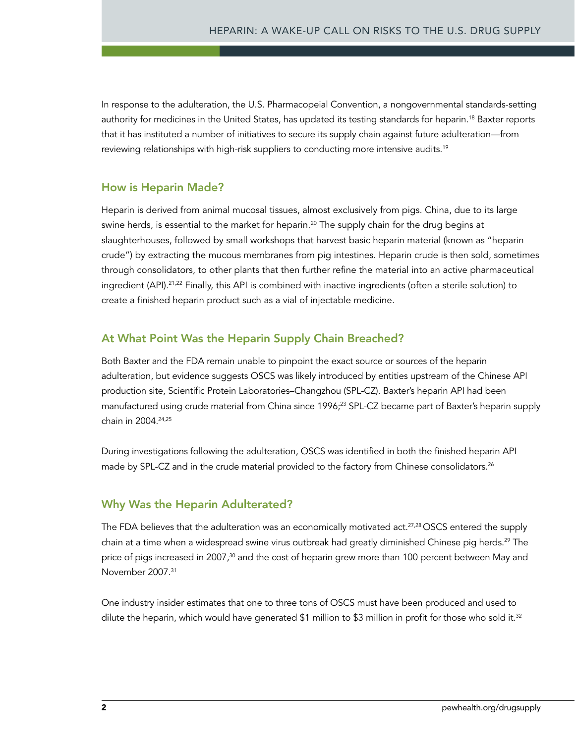In response to the adulteration, the U.S. Pharmacopeial Convention, a nongovernmental standards-setting authority for medicines in the United States, has updated its testing standards for heparin.<sup>18</sup> Baxter reports that it has instituted a number of initiatives to secure its supply chain against future adulteration—from reviewing relationships with high-risk suppliers to conducting more intensive audits.<sup>19</sup>

## How is Heparin Made?

Heparin is derived from animal mucosal tissues, almost exclusively from pigs. China, due to its large swine herds, is essential to the market for heparin.<sup>20</sup> The supply chain for the drug begins at slaughterhouses, followed by small workshops that harvest basic heparin material (known as "heparin crude") by extracting the mucous membranes from pig intestines. Heparin crude is then sold, sometimes through consolidators, to other plants that then further refine the material into an active pharmaceutical ingredient (API).<sup>21,22</sup> Finally, this API is combined with inactive ingredients (often a sterile solution) to create a finished heparin product such as a vial of injectable medicine.

# At What Point Was the Heparin Supply Chain Breached?

Both Baxter and the FDA remain unable to pinpoint the exact source or sources of the heparin adulteration, but evidence suggests OSCS was likely introduced by entities upstream of the Chinese API production site, Scientific Protein Laboratories–Changzhou (SPL-CZ). Baxter's heparin API had been manufactured using crude material from China since 1996;<sup>23</sup> SPL-CZ became part of Baxter's heparin supply chain in 2004.24,25

During investigations following the adulteration, OSCS was identified in both the finished heparin API made by SPL-CZ and in the crude material provided to the factory from Chinese consolidators.<sup>26</sup>

# Why Was the Heparin Adulterated?

The FDA believes that the adulteration was an economically motivated act.<sup>27,28</sup> OSCS entered the supply chain at a time when a widespread swine virus outbreak had greatly diminished Chinese pig herds.<sup>29</sup> The price of pigs increased in 2007,<sup>30</sup> and the cost of heparin grew more than 100 percent between May and November 2007.31

One industry insider estimates that one to three tons of OSCS must have been produced and used to dilute the heparin, which would have generated \$1 million to \$3 million in profit for those who sold it.<sup>32</sup>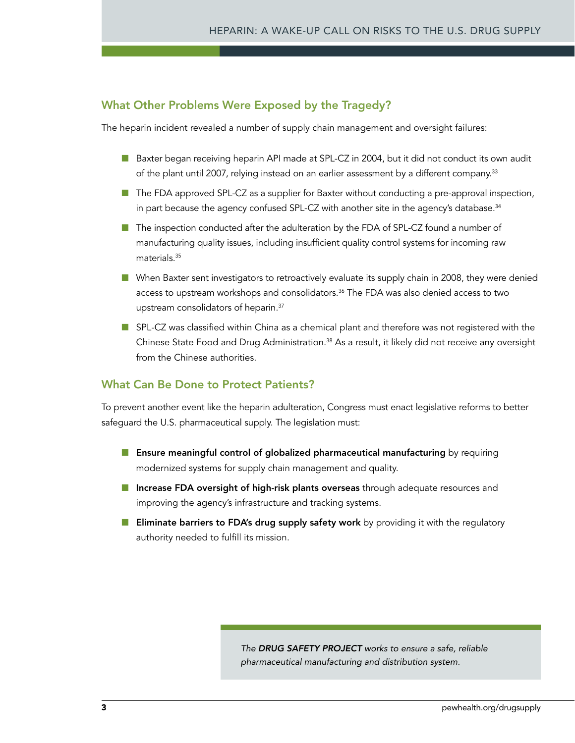## What Other Problems Were Exposed by the Tragedy?

The heparin incident revealed a number of supply chain management and oversight failures:

- Baxter began receiving heparin API made at SPL-CZ in 2004, but it did not conduct its own audit of the plant until 2007, relying instead on an earlier assessment by a different company.33
- The FDA approved SPL-CZ as a supplier for Baxter without conducting a pre-approval inspection, in part because the agency confused SPL-CZ with another site in the agency's database.<sup>34</sup>
- The inspection conducted after the adulteration by the FDA of SPL-CZ found a number of manufacturing quality issues, including insufficient quality control systems for incoming raw materials.35
- When Baxter sent investigators to retroactively evaluate its supply chain in 2008, they were denied access to upstream workshops and consolidators.36 The FDA was also denied access to two upstream consolidators of heparin.37
- SPL-CZ was classified within China as a chemical plant and therefore was not registered with the Chinese State Food and Drug Administration.38 As a result, it likely did not receive any oversight from the Chinese authorities.

#### What Can Be Done to Protect Patients?

To prevent another event like the heparin adulteration, Congress must enact legislative reforms to better safeguard the U.S. pharmaceutical supply. The legislation must:

- Ensure meaningful control of globalized pharmaceutical manufacturing by requiring modernized systems for supply chain management and quality.
- Increase FDA oversight of high-risk plants overseas through adequate resources and improving the agency's infrastructure and tracking systems.
- Eliminate barriers to FDA's drug supply safety work by providing it with the regulatory authority needed to fulfill its mission.

*The Drug Safety Project works to ensure a safe, reliable pharmaceutical manufacturing and distribution system.*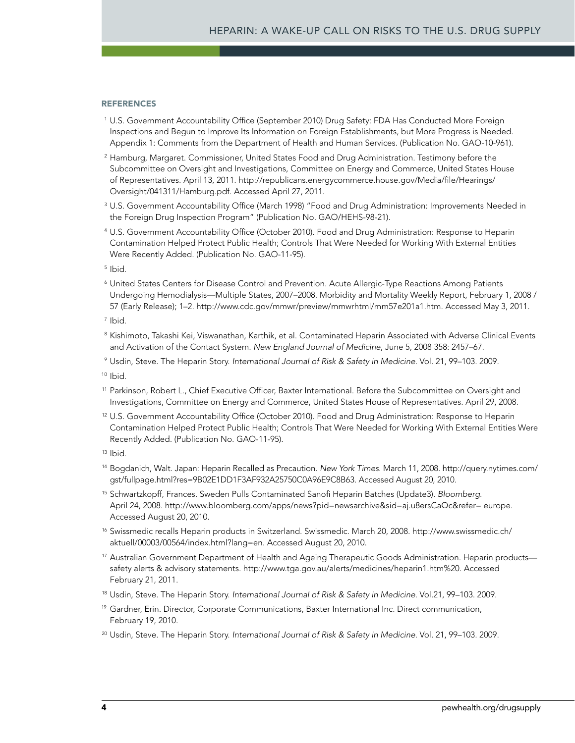#### **REFERENCES**

- 1 U.S. Government Accountability Office (September 2010) Drug Safety: FDA Has Conducted More Foreign Inspections and Begun to Improve Its Information on Foreign Establishments, but More Progress is Needed. Appendix 1: Comments from the Department of Health and Human Services. (Publication No. GAO-10-961).
- <sup>2</sup> Hamburg, Margaret. Commissioner, United States Food and Drug Administration. Testimony before the Subcommittee on Oversight and Investigations, Committee on Energy and Commerce, United States House of Representatives. April 13, 2011. http://republicans.energycommerce.house.gov/Media/file/Hearings/ Oversight/041311/Hamburg.pdf. Accessed April 27, 2011.
- <sup>3</sup> U.S. Government Accountability Office (March 1998) "Food and Drug Administration: Improvements Needed in the Foreign Drug Inspection Program" (Publication No. GAO/HEHS-98-21).
- 4 U.S. Government Accountability Office (October 2010). Food and Drug Administration: Response to Heparin Contamination Helped Protect Public Health; Controls That Were Needed for Working With External Entities Were Recently Added. (Publication No. GAO-11-95).
- 5 Ibid.
- 6 United States Centers for Disease Control and Prevention. Acute Allergic-Type Reactions Among Patients Undergoing Hemodialysis—Multiple States, 2007–2008. Morbidity and Mortality Weekly Report, February 1, 2008 / 57 (Early Release); 1–2. http://www.cdc.gov/mmwr/preview/mmwrhtml/mm57e201a1.htm. Accessed May 3, 2011.
- 7 Ibid.
- <sup>8</sup> Kishimoto, Takashi Kei, Viswanathan, Karthik, et al. Contaminated Heparin Associated with Adverse Clinical Events and Activation of the Contact System. *New England Journal of Medicine*, June 5, 2008 358: 2457–67.
- <sup>9</sup> Usdin, Steve. The Heparin Story. *International Journal of Risk & Safety in Medicine*. Vol. 21, 99–103. 2009.

<sup>10</sup> Ibid.

- 11 Parkinson, Robert L., Chief Executive Officer, Baxter International. Before the Subcommittee on Oversight and Investigations, Committee on Energy and Commerce, United States House of Representatives. April 29, 2008.
- <sup>12</sup> U.S. Government Accountability Office (October 2010). Food and Drug Administration: Response to Heparin Contamination Helped Protect Public Health; Controls That Were Needed for Working With External Entities Were Recently Added. (Publication No. GAO-11-95).
- $13$  Ibid.
- 14 Bogdanich, Walt. Japan: Heparin Recalled as Precaution. *New York Times*. March 11, 2008. http://query.nytimes.com/ gst/fullpage.html?res=9B02E1DD1F3AF932A25750C0A96E9C8B63. Accessed August 20, 2010.
- 15 Schwartzkopff, Frances. Sweden Pulls Contaminated Sanofi Heparin Batches (Update3). *Bloomberg*. April 24, 2008. http://www.bloomberg.com/apps/news?pid=newsarchive&sid=aj.u8ersCaQc&refer= europe. Accessed August 20, 2010.
- 16 Swissmedic recalls Heparin products in Switzerland. Swissmedic. March 20, 2008. http://www.swissmedic.ch/ aktuell/00003/00564/index.html?lang=en. Accessed August 20, 2010.
- <sup>17</sup> Australian Government Department of Health and Ageing Therapeutic Goods Administration. Heparin products safety alerts & advisory statements. http://www.tga.gov.au/alerts/medicines/heparin1.htm%20. Accessed February 21, 2011.
- <sup>18</sup> Usdin, Steve. The Heparin Story. *International Journal of Risk & Safety in Medicine*. Vol.21, 99–103. 2009.
- <sup>19</sup> Gardner, Erin. Director, Corporate Communications, Baxter International Inc. Direct communication, February 19, 2010.
- <sup>20</sup> Usdin, Steve. The Heparin Story. *International Journal of Risk & Safety in Medicine*. Vol. 21, 99–103. 2009.